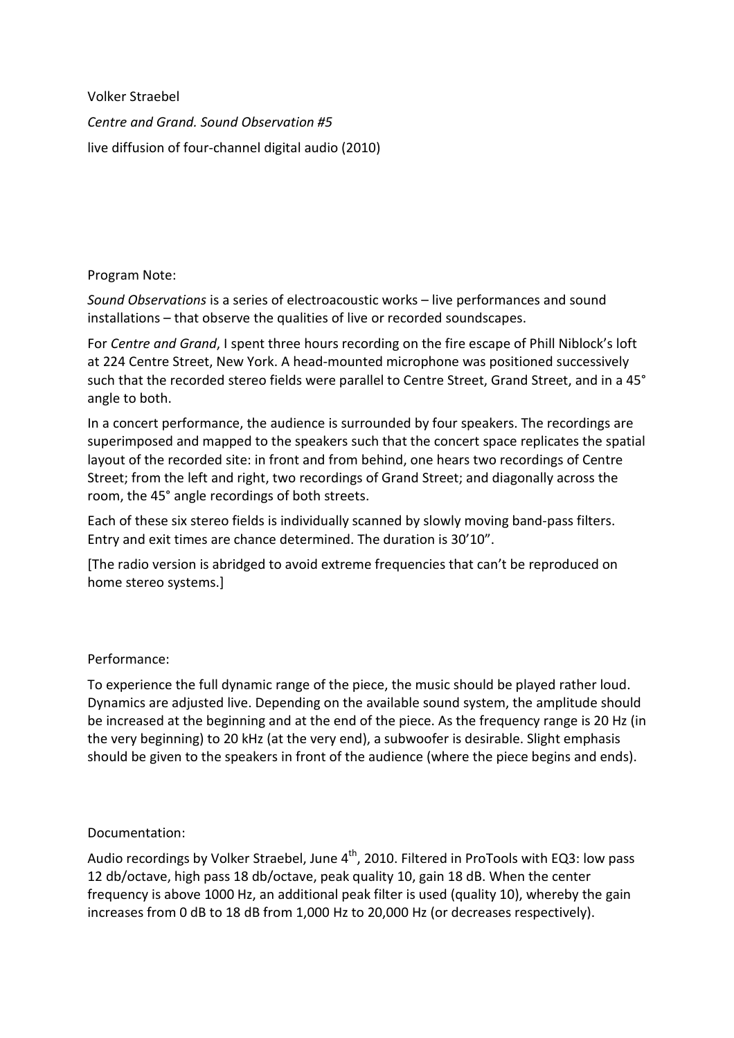Volker Straebel *Centre and Grand. Sound Observation #5*  live diffusion of four-channel digital audio (2010)

## Program Note:

*Sound Observations* is a series of electroacoustic works – live performances and sound installations – that observe the qualities of live or recorded soundscapes.

For *Centre and Grand*, I spent three hours recording on the fire escape of Phill Niblock's loft at 224 Centre Street, New York. A head-mounted microphone was positioned successively such that the recorded stereo fields were parallel to Centre Street, Grand Street, and in a 45° angle to both.

In a concert performance, the audience is surrounded by four speakers. The recordings are superimposed and mapped to the speakers such that the concert space replicates the spatial layout of the recorded site: in front and from behind, one hears two recordings of Centre Street; from the left and right, two recordings of Grand Street; and diagonally across the room, the 45° angle recordings of both streets.

Each of these six stereo fields is individually scanned by slowly moving band-pass filters. Entry and exit times are chance determined. The duration is 30'10".

[The radio version is abridged to avoid extreme frequencies that can't be reproduced on home stereo systems.]

## Performance:

To experience the full dynamic range of the piece, the music should be played rather loud. Dynamics are adjusted live. Depending on the available sound system, the amplitude should be increased at the beginning and at the end of the piece. As the frequency range is 20 Hz (in the very beginning) to 20 kHz (at the very end), a subwoofer is desirable. Slight emphasis should be given to the speakers in front of the audience (where the piece begins and ends).

## Documentation:

Audio recordings by Volker Straebel, June  $4<sup>th</sup>$ , 2010. Filtered in ProTools with EQ3: low pass 12 db/octave, high pass 18 db/octave, peak quality 10, gain 18 dB. When the center frequency is above 1000 Hz, an additional peak filter is used (quality 10), whereby the gain increases from 0 dB to 18 dB from 1,000 Hz to 20,000 Hz (or decreases respectively).